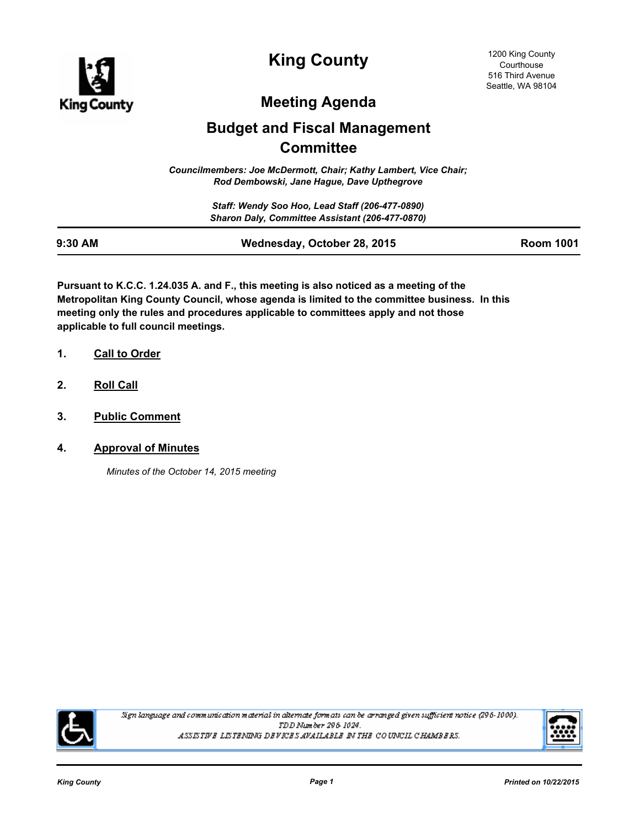

**King County**

# **Meeting Agenda**

# **Budget and Fiscal Management Committee**

*Councilmembers: Joe McDermott, Chair; Kathy Lambert, Vice Chair; Rod Dembowski, Jane Hague, Dave Upthegrove*

> *Staff: Wendy Soo Hoo, Lead Staff (206-477-0890) Sharon Daly, Committee Assistant (206-477-0870)*

| 9:30 AM | Wednesday, October 28, 2015 | <b>Room 1001</b> |
|---------|-----------------------------|------------------|

**Pursuant to K.C.C. 1.24.035 A. and F., this meeting is also noticed as a meeting of the Metropolitan King County Council, whose agenda is limited to the committee business. In this meeting only the rules and procedures applicable to committees apply and not those applicable to full council meetings.**

- **1. Call to Order**
- **2. Roll Call**
- **3. Public Comment**
- **4. Approval of Minutes**

*Minutes of the October 14, 2015 meeting*



Sign language and communication material in alternate formats can be arranged given sufficient notice (296-1000). TDD Number 296-1024. ASSISTIVE LISTENING DEVICES AVAILABLE IN THE COUNCIL CHAMBERS.

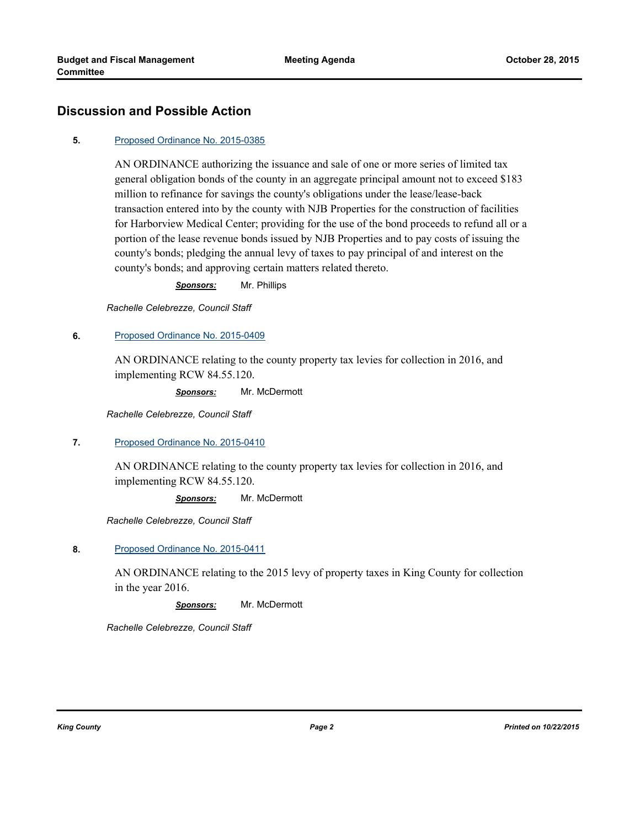## **Discussion and Possible Action**

#### **5.** [Proposed Ordinance No. 2015-0385](http://kingcounty.legistar.com/gateway.aspx?m=l&id=/matter.aspx?key=16427)

AN ORDINANCE authorizing the issuance and sale of one or more series of limited tax general obligation bonds of the county in an aggregate principal amount not to exceed \$183 million to refinance for savings the county's obligations under the lease/lease-back transaction entered into by the county with NJB Properties for the construction of facilities for Harborview Medical Center; providing for the use of the bond proceeds to refund all or a portion of the lease revenue bonds issued by NJB Properties and to pay costs of issuing the county's bonds; pledging the annual levy of taxes to pay principal of and interest on the county's bonds; and approving certain matters related thereto.

*Sponsors:* Mr. Phillips

*Rachelle Celebrezze, Council Staff*

#### **6.** [Proposed Ordinance No. 2015-0409](http://kingcounty.legistar.com/gateway.aspx?m=l&id=/matter.aspx?key=16481)

AN ORDINANCE relating to the county property tax levies for collection in 2016, and implementing RCW 84.55.120.

*Sponsors:* Mr. McDermott

*Rachelle Celebrezze, Council Staff*

#### **7.** [Proposed Ordinance No. 2015-0410](http://kingcounty.legistar.com/gateway.aspx?m=l&id=/matter.aspx?key=16482)

AN ORDINANCE relating to the county property tax levies for collection in 2016, and implementing RCW 84.55.120.

*Sponsors:* Mr. McDermott

*Rachelle Celebrezze, Council Staff*

**8.** [Proposed Ordinance No. 2015-0411](http://kingcounty.legistar.com/gateway.aspx?m=l&id=/matter.aspx?key=16483)

AN ORDINANCE relating to the 2015 levy of property taxes in King County for collection in the year 2016.

*Sponsors:* Mr. McDermott

*Rachelle Celebrezze, Council Staff*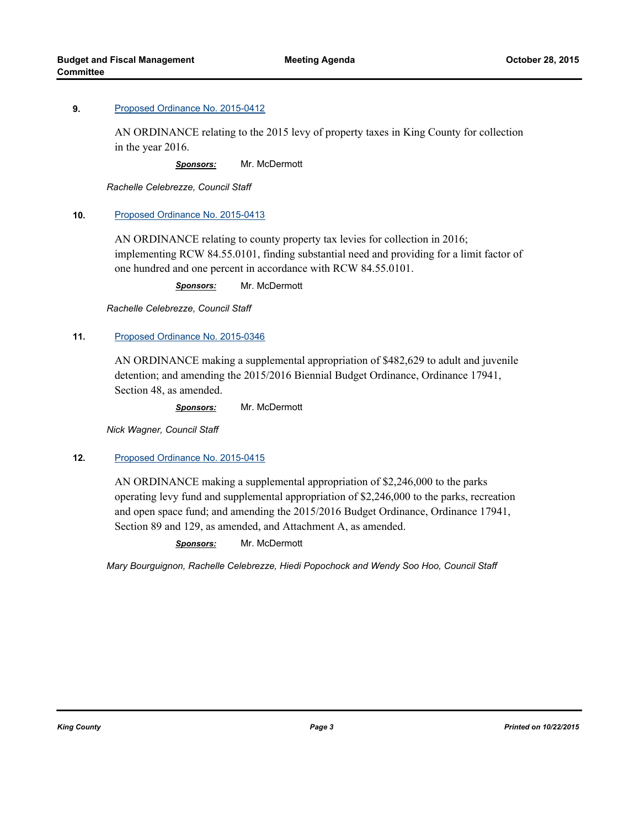AN ORDINANCE relating to the 2015 levy of property taxes in King County for collection in the year 2016.

*Sponsors:* Mr. McDermott

*Rachelle Celebrezze, Council Staff*

#### **10.** [Proposed Ordinance No. 2015-0413](http://kingcounty.legistar.com/gateway.aspx?m=l&id=/matter.aspx?key=16485)

AN ORDINANCE relating to county property tax levies for collection in 2016; implementing RCW 84.55.0101, finding substantial need and providing for a limit factor of one hundred and one percent in accordance with RCW 84.55.0101.

*Sponsors:* Mr. McDermott

*Rachelle Celebrezze, Council Staff*

### **11.** [Proposed Ordinance No. 2015-0346](http://kingcounty.legistar.com/gateway.aspx?m=l&id=/matter.aspx?key=16342)

AN ORDINANCE making a supplemental appropriation of \$482,629 to adult and juvenile detention; and amending the 2015/2016 Biennial Budget Ordinance, Ordinance 17941, Section 48, as amended.

*Sponsors:* Mr. McDermott

*Nick Wagner, Council Staff*

#### **12.** [Proposed Ordinance No. 2015-0415](http://kingcounty.legistar.com/gateway.aspx?m=l&id=/matter.aspx?key=16487)

AN ORDINANCE making a supplemental appropriation of \$2,246,000 to the parks operating levy fund and supplemental appropriation of \$2,246,000 to the parks, recreation and open space fund; and amending the 2015/2016 Budget Ordinance, Ordinance 17941, Section 89 and 129, as amended, and Attachment A, as amended.

*Sponsors:* Mr. McDermott

*Mary Bourguignon, Rachelle Celebrezze, Hiedi Popochock and Wendy Soo Hoo, Council Staff*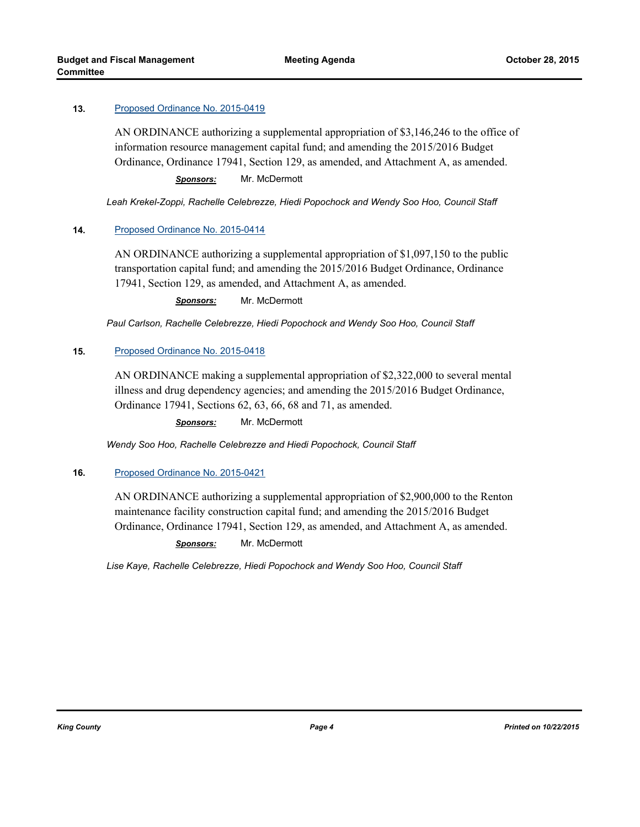AN ORDINANCE authorizing a supplemental appropriation of \$3,146,246 to the office of information resource management capital fund; and amending the 2015/2016 Budget Ordinance, Ordinance 17941, Section 129, as amended, and Attachment A, as amended.

*Sponsors:* Mr. McDermott

*Leah Krekel-Zoppi, Rachelle Celebrezze, Hiedi Popochock and Wendy Soo Hoo, Council Staff*

#### **14.** [Proposed Ordinance No. 2015-0414](http://kingcounty.legistar.com/gateway.aspx?m=l&id=/matter.aspx?key=16486)

AN ORDINANCE authorizing a supplemental appropriation of \$1,097,150 to the public transportation capital fund; and amending the 2015/2016 Budget Ordinance, Ordinance 17941, Section 129, as amended, and Attachment A, as amended.

*Sponsors:* Mr. McDermott

*Paul Carlson, Rachelle Celebrezze, Hiedi Popochock and Wendy Soo Hoo, Council Staff*

#### **15.** [Proposed Ordinance No. 2015-0418](http://kingcounty.legistar.com/gateway.aspx?m=l&id=/matter.aspx?key=16490)

AN ORDINANCE making a supplemental appropriation of \$2,322,000 to several mental illness and drug dependency agencies; and amending the 2015/2016 Budget Ordinance, Ordinance 17941, Sections 62, 63, 66, 68 and 71, as amended.

*Sponsors:* Mr. McDermott

*Wendy Soo Hoo, Rachelle Celebrezze and Hiedi Popochock, Council Staff*

#### **16.** [Proposed Ordinance No. 2015-0421](http://kingcounty.legistar.com/gateway.aspx?m=l&id=/matter.aspx?key=16493)

AN ORDINANCE authorizing a supplemental appropriation of \$2,900,000 to the Renton maintenance facility construction capital fund; and amending the 2015/2016 Budget Ordinance, Ordinance 17941, Section 129, as amended, and Attachment A, as amended.

*Sponsors:* Mr. McDermott

*Lise Kaye, Rachelle Celebrezze, Hiedi Popochock and Wendy Soo Hoo, Council Staff*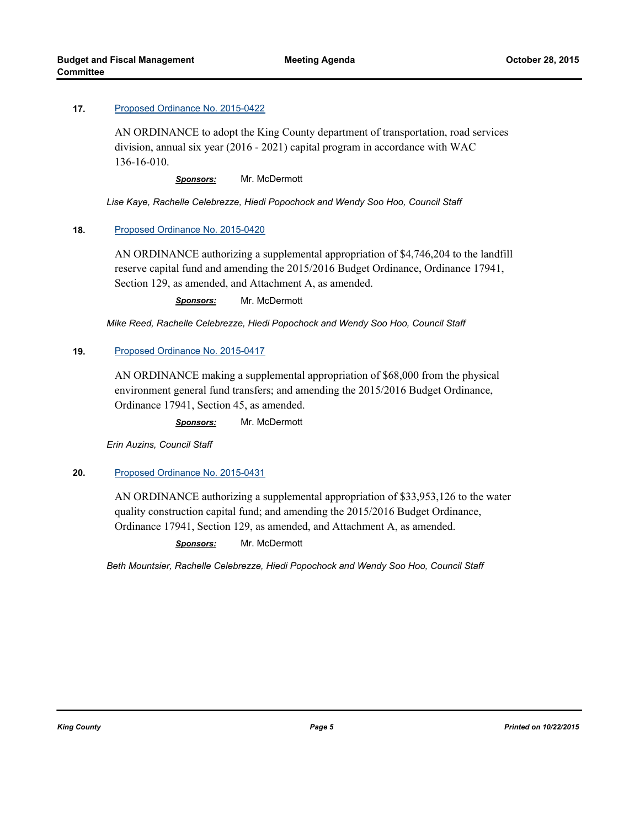AN ORDINANCE to adopt the King County department of transportation, road services division, annual six year (2016 - 2021) capital program in accordance with WAC 136-16-010.

*Sponsors:* Mr. McDermott

*Lise Kaye, Rachelle Celebrezze, Hiedi Popochock and Wendy Soo Hoo, Council Staff*

#### **18.** [Proposed Ordinance No. 2015-0420](http://kingcounty.legistar.com/gateway.aspx?m=l&id=/matter.aspx?key=16492)

AN ORDINANCE authorizing a supplemental appropriation of \$4,746,204 to the landfill reserve capital fund and amending the 2015/2016 Budget Ordinance, Ordinance 17941, Section 129, as amended, and Attachment A, as amended.

*Sponsors:* Mr. McDermott

*Mike Reed, Rachelle Celebrezze, Hiedi Popochock and Wendy Soo Hoo, Council Staff*

#### **19.** [Proposed Ordinance No. 2015-0417](http://kingcounty.legistar.com/gateway.aspx?m=l&id=/matter.aspx?key=16489)

AN ORDINANCE making a supplemental appropriation of \$68,000 from the physical environment general fund transfers; and amending the 2015/2016 Budget Ordinance, Ordinance 17941, Section 45, as amended.

*Sponsors:* Mr. McDermott

*Erin Auzins, Council Staff*

#### **20.** [Proposed Ordinance No. 2015-0431](http://kingcounty.legistar.com/gateway.aspx?m=l&id=/matter.aspx?key=16504)

AN ORDINANCE authorizing a supplemental appropriation of \$33,953,126 to the water quality construction capital fund; and amending the 2015/2016 Budget Ordinance, Ordinance 17941, Section 129, as amended, and Attachment A, as amended.

*Sponsors:* Mr. McDermott

*Beth Mountsier, Rachelle Celebrezze, Hiedi Popochock and Wendy Soo Hoo, Council Staff*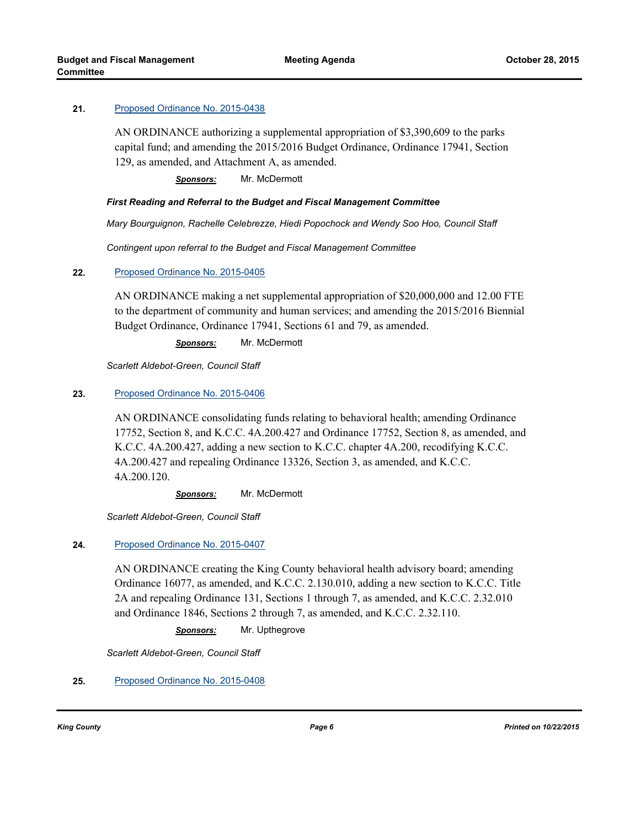AN ORDINANCE authorizing a supplemental appropriation of \$3,390,609 to the parks capital fund; and amending the 2015/2016 Budget Ordinance, Ordinance 17941, Section 129, as amended, and Attachment A, as amended.

*Sponsors:* Mr. McDermott

#### *First Reading and Referral to the Budget and Fiscal Management Committee*

*Mary Bourguignon, Rachelle Celebrezze, Hiedi Popochock and Wendy Soo Hoo, Council Staff*

*Contingent upon referral to the Budget and Fiscal Management Committee*

#### **22.** [Proposed Ordinance No. 2015-0405](http://kingcounty.legistar.com/gateway.aspx?m=l&id=/matter.aspx?key=16477)

AN ORDINANCE making a net supplemental appropriation of \$20,000,000 and 12.00 FTE to the department of community and human services; and amending the 2015/2016 Biennial Budget Ordinance, Ordinance 17941, Sections 61 and 79, as amended.

*Sponsors:* Mr. McDermott

*Scarlett Aldebot-Green, Council Staff*

#### **23.** [Proposed Ordinance No. 2015-0406](http://kingcounty.legistar.com/gateway.aspx?m=l&id=/matter.aspx?key=16478)

AN ORDINANCE consolidating funds relating to behavioral health; amending Ordinance 17752, Section 8, and K.C.C. 4A.200.427 and Ordinance 17752, Section 8, as amended, and K.C.C. 4A.200.427, adding a new section to K.C.C. chapter 4A.200, recodifying K.C.C. 4A.200.427 and repealing Ordinance 13326, Section 3, as amended, and K.C.C. 4A.200.120.

*Sponsors:* Mr. McDermott

*Scarlett Aldebot-Green, Council Staff*

#### **24.** [Proposed Ordinance No. 2015-0407](http://kingcounty.legistar.com/gateway.aspx?m=l&id=/matter.aspx?key=16479)

AN ORDINANCE creating the King County behavioral health advisory board; amending Ordinance 16077, as amended, and K.C.C. 2.130.010, adding a new section to K.C.C. Title 2A and repealing Ordinance 131, Sections 1 through 7, as amended, and K.C.C. 2.32.010 and Ordinance 1846, Sections 2 through 7, as amended, and K.C.C. 2.32.110.

*Sponsors:* Mr. Upthegrove

*Scarlett Aldebot-Green, Council Staff*

#### **25.** [Proposed Ordinance No. 2015-0408](http://kingcounty.legistar.com/gateway.aspx?m=l&id=/matter.aspx?key=16480)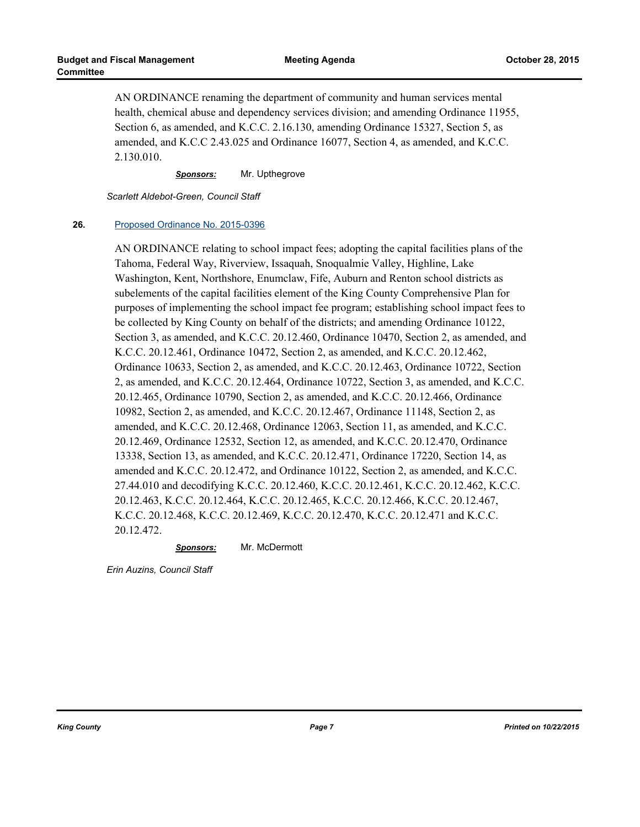AN ORDINANCE renaming the department of community and human services mental health, chemical abuse and dependency services division; and amending Ordinance 11955, Section 6, as amended, and K.C.C. 2.16.130, amending Ordinance 15327, Section 5, as amended, and K.C.C 2.43.025 and Ordinance 16077, Section 4, as amended, and K.C.C. 2.130.010.

*Sponsors:* Mr. Upthegrove

*Scarlett Aldebot-Green, Council Staff*

#### **26.** [Proposed Ordinance No. 2015-0396](http://kingcounty.legistar.com/gateway.aspx?m=l&id=/matter.aspx?key=16452)

AN ORDINANCE relating to school impact fees; adopting the capital facilities plans of the Tahoma, Federal Way, Riverview, Issaquah, Snoqualmie Valley, Highline, Lake Washington, Kent, Northshore, Enumclaw, Fife, Auburn and Renton school districts as subelements of the capital facilities element of the King County Comprehensive Plan for purposes of implementing the school impact fee program; establishing school impact fees to be collected by King County on behalf of the districts; and amending Ordinance 10122, Section 3, as amended, and K.C.C. 20.12.460, Ordinance 10470, Section 2, as amended, and K.C.C. 20.12.461, Ordinance 10472, Section 2, as amended, and K.C.C. 20.12.462, Ordinance 10633, Section 2, as amended, and K.C.C. 20.12.463, Ordinance 10722, Section 2, as amended, and K.C.C. 20.12.464, Ordinance 10722, Section 3, as amended, and K.C.C. 20.12.465, Ordinance 10790, Section 2, as amended, and K.C.C. 20.12.466, Ordinance 10982, Section 2, as amended, and K.C.C. 20.12.467, Ordinance 11148, Section 2, as amended, and K.C.C. 20.12.468, Ordinance 12063, Section 11, as amended, and K.C.C. 20.12.469, Ordinance 12532, Section 12, as amended, and K.C.C. 20.12.470, Ordinance 13338, Section 13, as amended, and K.C.C. 20.12.471, Ordinance 17220, Section 14, as amended and K.C.C. 20.12.472, and Ordinance 10122, Section 2, as amended, and K.C.C. 27.44.010 and decodifying K.C.C. 20.12.460, K.C.C. 20.12.461, K.C.C. 20.12.462, K.C.C. 20.12.463, K.C.C. 20.12.464, K.C.C. 20.12.465, K.C.C. 20.12.466, K.C.C. 20.12.467, K.C.C. 20.12.468, K.C.C. 20.12.469, K.C.C. 20.12.470, K.C.C. 20.12.471 and K.C.C. 20.12.472.

*Sponsors:* Mr. McDermott

*Erin Auzins, Council Staff*